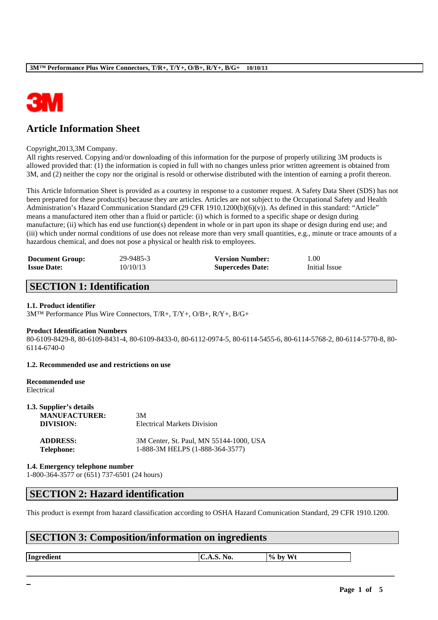

# **Article Information Sheet**

#### Copyright,2013,3M Company.

All rights reserved. Copying and/or downloading of this information for the purpose of properly utilizing 3M products is allowed provided that: (1) the information is copied in full with no changes unless prior written agreement is obtained from 3M, and (2) neither the copy nor the original is resold or otherwise distributed with the intention of earning a profit thereon.

This Article Information Sheet is provided as a courtesy in response to a customer request. A Safety Data Sheet (SDS) has not been prepared for these product(s) because they are articles. Articles are not subject to the Occupational Safety and Health Administration's Hazard Communication Standard (29 CFR 1910.1200(b)(6)(v)). As defined in this standard: "Article" means a manufactured item other than a fluid or particle: (i) which is formed to a specific shape or design during manufacture; (ii) which has end use function(s) dependent in whole or in part upon its shape or design during end use; and (iii) which under normal conditions of use does not release more than very small quantities, e.g., minute or trace amounts of a hazardous chemical, and does not pose a physical or health risk to employees.

| <b>Document Group:</b> | 29-9485-3 | <b>Version Number:</b>  | 1.00          |
|------------------------|-----------|-------------------------|---------------|
| <b>Issue Date:</b>     | 10/10/13  | <b>Supercedes Date:</b> | Initial Issue |

## **SECTION 1: Identification**

#### **1.1. Product identifier**

3M™ Performance Plus Wire Connectors, T/R+, T/Y+, O/B+, R/Y+, B/G+

#### **Product Identification Numbers**

80-6109-8429-8, 80-6109-8431-4, 80-6109-8433-0, 80-6112-0974-5, 80-6114-5455-6, 80-6114-5768-2, 80-6114-5770-8, 80- 6114-6740-0

### **1.2. Recommended use and restrictions on use**

#### **Recommended use** Electrical

| 1.3. Supplier's details |                                         |
|-------------------------|-----------------------------------------|
| <b>MANUFACTURER:</b>    | 3M                                      |
| DIVISION:               | <b>Electrical Markets Division</b>      |
| <b>ADDRESS:</b>         | 3M Center, St. Paul, MN 55144-1000, USA |
| <b>Telephone:</b>       | 1-888-3M HELPS (1-888-364-3577)         |

**1.4. Emergency telephone number** 1-800-364-3577 or (651) 737-6501 (24 hours)

## **SECTION 2: Hazard identification**

This product is exempt from hazard classification according to OSHA Hazard Comunication Standard, 29 CFR 1910.1200.

\_\_\_\_\_\_\_\_\_\_\_\_\_\_\_\_\_\_\_\_\_\_\_\_\_\_\_\_\_\_\_\_\_\_\_\_\_\_\_\_\_\_\_\_\_\_\_\_\_\_\_\_\_\_\_\_\_\_\_\_\_\_\_\_\_\_\_\_\_\_\_\_\_\_\_\_\_\_\_\_\_\_\_\_\_\_\_\_\_\_

## **SECTION 3: Composition/information on ingredients**

**Ingredient**  $\overline{\text{CA.S. No.}}$   $\%$  by Wt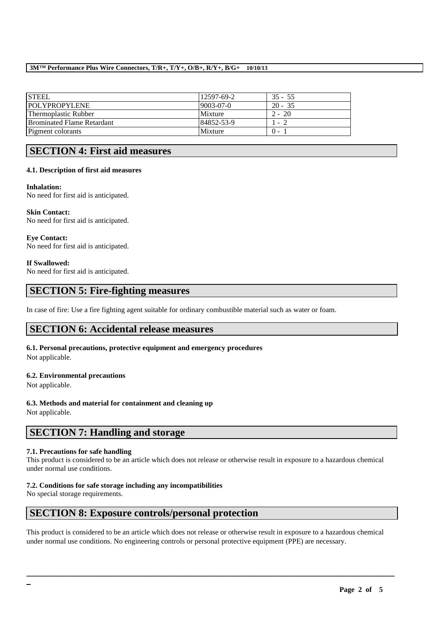### **3M™ Performance Plus Wire Connectors, T/R+, T/Y+, O/B+, R/Y+, B/G+ 10/10/13**

| <b>STEEL</b>                      | 12597-69-2 | $35 - 55$ |
|-----------------------------------|------------|-----------|
| <b>POLYPROPYLENE</b>              | 9003-07-0  | $20 - 35$ |
| Thermoplastic Rubber              | Mixture    | $2 - 20$  |
| <b>Brominated Flame Retardant</b> | 84852-53-9 | 1 - 2     |
| Pigment colorants                 | Mixture    | $() -$    |

# **SECTION 4: First aid measures**

### **4.1. Description of first aid measures**

### **Inhalation:**

No need for first aid is anticipated.

**Skin Contact:**  No need for first aid is anticipated.

**Eye Contact:**  No need for first aid is anticipated.

### **If Swallowed:**

No need for first aid is anticipated.

## **SECTION 5: Fire-fighting measures**

In case of fire: Use a fire fighting agent suitable for ordinary combustible material such as water or foam.

## **SECTION 6: Accidental release measures**

**6.1. Personal precautions, protective equipment and emergency procedures** Not applicable.

## **6.2. Environmental precautions**

Not applicable.

**6.3. Methods and material for containment and cleaning up** Not applicable.

## **SECTION 7: Handling and storage**

### **7.1. Precautions for safe handling**

This product is considered to be an article which does not release or otherwise result in exposure to a hazardous chemical under normal use conditions.

## **7.2. Conditions for safe storage including any incompatibilities**

No special storage requirements.

## **SECTION 8: Exposure controls/personal protection**

This product is considered to be an article which does not release or otherwise result in exposure to a hazardous chemical under normal use conditions. No engineering controls or personal protective equipment (PPE) are necessary.

\_\_\_\_\_\_\_\_\_\_\_\_\_\_\_\_\_\_\_\_\_\_\_\_\_\_\_\_\_\_\_\_\_\_\_\_\_\_\_\_\_\_\_\_\_\_\_\_\_\_\_\_\_\_\_\_\_\_\_\_\_\_\_\_\_\_\_\_\_\_\_\_\_\_\_\_\_\_\_\_\_\_\_\_\_\_\_\_\_\_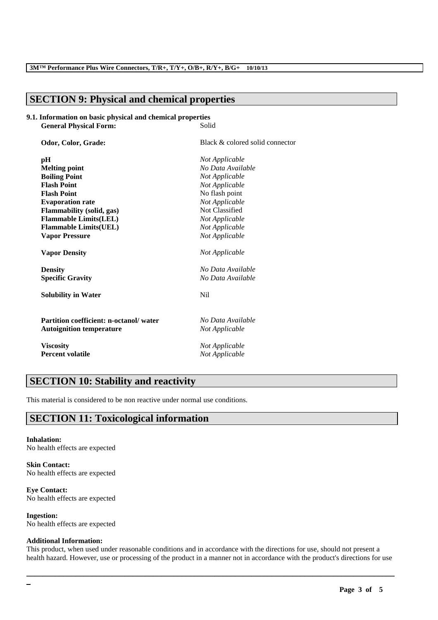# **SECTION 9: Physical and chemical properties**

#### **9.1. Information on basic physical and chemical properties General Physical Form:** Solid

| Odor, Color, Grade:                           | Black & colored solid connector |  |
|-----------------------------------------------|---------------------------------|--|
| pН                                            | Not Applicable                  |  |
| <b>Melting point</b>                          | No Data Available               |  |
| <b>Boiling Point</b>                          | Not Applicable                  |  |
| <b>Flash Point</b>                            | Not Applicable                  |  |
| <b>Flash Point</b>                            | No flash point                  |  |
| <b>Evaporation rate</b>                       | Not Applicable                  |  |
| <b>Flammability (solid, gas)</b>              | Not Classified                  |  |
| <b>Flammable Limits(LEL)</b>                  | Not Applicable                  |  |
| <b>Flammable Limits(UEL)</b>                  | Not Applicable                  |  |
| <b>Vapor Pressure</b>                         | Not Applicable                  |  |
| <b>Vapor Density</b>                          | Not Applicable                  |  |
| <b>Density</b>                                | No Data Available               |  |
| <b>Specific Gravity</b>                       | No Data Available               |  |
| <b>Solubility in Water</b>                    | N <sub>i</sub>                  |  |
| <b>Partition coefficient: n-octanol/water</b> | No Data Available               |  |
| <b>Autoignition temperature</b>               | Not Applicable                  |  |
| <b>Viscosity</b>                              | Not Applicable                  |  |
| <b>Percent volatile</b>                       | Not Applicable                  |  |

# **SECTION 10: Stability and reactivity**

This material is considered to be non reactive under normal use conditions.

# **SECTION 11: Toxicological information**

#### **Inhalation:** No health effects are expected

**Skin Contact:** No health effects are expected

**Eye Contact:** No health effects are expected

**Ingestion:** No health effects are expected

### **Additional Information:**

This product, when used under reasonable conditions and in accordance with the directions for use, should not present a health hazard. However, use or processing of the product in a manner not in accordance with the product's directions for use

\_\_\_\_\_\_\_\_\_\_\_\_\_\_\_\_\_\_\_\_\_\_\_\_\_\_\_\_\_\_\_\_\_\_\_\_\_\_\_\_\_\_\_\_\_\_\_\_\_\_\_\_\_\_\_\_\_\_\_\_\_\_\_\_\_\_\_\_\_\_\_\_\_\_\_\_\_\_\_\_\_\_\_\_\_\_\_\_\_\_